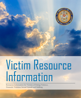

# Victim Resource Information

Resources Information for Victims of Dating Violence, Domestic Violence, Sexual Assault and Stalking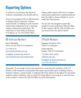## **Reporting Options**

If violence is occurring or the threat of violence is immediate, you should call 911.

You are encouraged to file an official report of dating violence, domestic violence, sexual assault, or stalking to your local law enforcement authorities or by contacting campus enforcement authorities, The University of Texas Police at Houston (UT Police), at 713-792-STOP (7867).

Filing a police report with local or campus enforcement authorities is optional and you have the right to choose whether or not to notify law enforcement.

You are also encouraged to report the incident to your institution's Title IX Office. To file a report with the Title IX Office you can choose from the options below:

#### MD Anderson Members

Sheri Wakefield, Clery Act and Title IX Coordinator

713-745-6174 [sbrownlo@mdanderson.org](mailto:sbrownlo%40mdanderson.org?subject=)

Complete an electronic form at [www.mdanderson.org/campussafety](http://www.mdanderson.org/campussafety)

#### UTHealth Members

Margaret McNeese, M.D., Title IX Coordinator

Deana Moylan, Deputy Title IX Coordinator

713-500-CALL (2255) [call@uth.tmc.edu](mailto:call%40uth.tmc.edu%20?subject=) 

Complete an electronic form at [www.uth.edu/titleix/](http://www.uth.edu/titleix/)

Immunity: To encourage victims and witnesses to come forward, members of the UT Health or MD Anderson communities who make a good faith report of dating violence, domestic violence, sexual assault, or stalking will not be subject to discipline for associated student conduct violations, such as alcohol or drug offenses occurring at or near the time of the incident. Contact the Title IX Office for more information.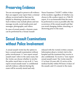## **Preserving Evidence**

You are encouraged to preserve all evidence that can support your report that a criminal offense occurred and/or that may be helpful in obtaining a protective order. Such evidence may include phone and text message records, social media posts and messages, photographs, and videos.

In cases of sexual assault, a forensic exam can be performed by a Sexual Assault

Nurse Examiner ("SANE") within 4 days of the incident, regardless of whether you choose to file a police report or a Title IX report. It is recommended that the exam be performed as soon as possible after the occurrence of the sexual assault and that you avoid changing clothes, douching, or showering prior to the exam.

## **Sexual Assault Examinations without Police Involvement**

A sexual assault victim has the option to have a sexual assault examination without police involvement. A "non-report sexual assault exam" refers to the same exam, but the victim can choose whether to involve the police much later or not at all. A "nonreport sexual assault exam" is confidential and all evidence collected during the exam will be securely stored and only

released with the victim's written consent. Information about a victim's visit to the hospital and the treatment they receive is also confidential. To receive a "non-report sexual assault exam," the victim must be: (1) at least 18 years old, (2) arrive at the medical facility within 96 hours (4 days) of the assault, and (3) consent to the exam.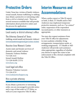## **Protective Orders**

Under Texas law, victims of family violence, **Accommodations** sexual assault, human trafficking or stalking may obtain a protective or restraining order from a civil or criminal court. There are several resources available that will provide information about protective orders and the process for application:

#### Local county or district attorney's office

The Attorney General of Texas (stalking, sexual assault and domestic violence) [www.texasattorneygeneral.gov/crime-victims](http://www.texasattorneygeneral.gov/crime-victims)

#### Houston Area Women's Center

Assists male and female survivors of domestic and sexual violence Domestic Violence Hotline: 713-528-2121 Sexual Assault Hotline: 713-528-RAPE (7273) [www.hawc.org](http://www.hawc.org)

Local legal aid office Houston Volunteer Lawyers 713-228-0735 [www.makejusticehappen.org](http://www.makejusticehappen.org)

Hire a private attorney

If you obtain a protective or restraining order, you are encouraged to provide notice and a copy of that order to UT Police, as well as to your respective Title IX office.

## **Interim Measures and**

When a police report or Title IX report, or both, is filed, UT Health and/or MD Anderson may implement temporary protective measures, such as a "no contact" order, suspension of the respondent (accused party), or other measures as appropriate.

You may also request assistance from your Title IX office for adjustments to your academic schedule, living arrangements, transportation needs, or working assignments. UT Health or MD Anderson will provide such assistance when appropriate, regardless of whether you choose to report the crime to law enforcement or file a formal complaint with the Title IX Office.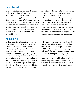## **Confidentiality**

Your report of dating violence, domestic violence, sexual assault, or stalking will be kept confidential, subject to the requirements of applicable policies and federal and state laws. While information is shared strictly on a "need to know" basis, it will be used as needed for implementation of safety measures, investigations, delivery of support services, and/or employee or student discipline in accordance with applicable law.

## Pseudonym

In Texas, you have the option to choose a pseudonym to be used instead of your real name in all public files and records related to the offense, which includes police summary reports, press releases and records of judicial proceedings. If you elect to use a pseudonym during the course of the investigation, a pseudonym form must be completed and provided to the law enforcement agency investigating the offense. Once the form is provided to the law enforcement agency, the agency

Reporting of the incident is required under the Clery Act and publically available records will be made accessible, but without the inclusion of any identifying information about you, as defined in 42 USC § 1395(a)(20). Information regarding any accommodations or protective measures provided to you are maintained as confidential to the extent that it does not impair the institution's ability to provide the accommodations or protective measures.

will remove your name and substitute it with the pseudonym on all reports, files and records in the agency's possession. Additionally, the law enforcement agency will notify the prosecutor of your decision to use a pseudonym and the prosecutor shall ensure that you are referred to by your pseudonym in all legal proceedings concerning the offense. However, the pseudonym form can/will be disclosed to the defendant and the defendant's attorney.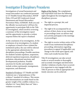### Investigation & Disciplinary Procedures

Investigations of sexual harassment and sexual misconduct are conducted pursuant to UT Health's Sexual Misconduct, HOOP Policy #59 and MD Anderson's Sexual Harassment and Sexual Misconduct Prevention Policy ADM0285. Both you and the offender (accused party) will have the opportunity to participate fully in the Title IX investigation, which involves reviewing a summary of the investigation report and the opportunity to provide a written response before the report is finalized.

At the conclusion of an investigation, At the conclusion of an investigation, if a student or employee is found to have violated the institution's policy, the case will be referred to the appropriate administrator for disciplinary proceedings. Possible sanctions for students include expulsion, suspension, deferred expulsion/suspension, disciplinary probation, educational sanctions, and developmental probation. Possible sanctions for faculty and employees include written reprimands, reassignment, suspension, and dismissal.

Standard of Evidence: UT Health and MD Anderson use a "preponderance of the evidence" standard of evidence. This means that determinations are made based on the greater weight of the credible evidence (i.e., whether it is "more likely than not" that a violation occurred).

Rights of the Parties: The complainant and respondent each have the following rights throughout the investigation and disciplinary process:

- The right to a prompt, fair, and impartial process;
- The right to be accompanied by an advisor of their choice at any meetings or proceedings (note: an advisor may not actively participate in the meetings or proceedings);
- The right to receive written notice of the result of any institutional disciplinary proceeding, information regarding procedures to appeal (if applicable), any change to the result upon appeal, and when such results become final.

Title IX investigations can take several weeks or several months to thoroughly and accurately investigate and determine whether violations of policy have occurred. It is important to stay engaged with the Title IX process so that an appropriate and timely outcome can be achieved.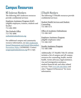## **Campus Resources**

MD Anderson Members The following MD Anderson resources provide confidential services:

Employee Assistance Program (EAP) (eligible employees, trainees, students and faculty) 713-404-3092

The Ombuds Office 713-792-4896 [ombuds@mdanderson.org](mailto:ombuds%40mdanderson.org?subject=)

For additional campus and community resource information, see [MD Anderson's](https://ippvip.mdanderson.org/OnBaseWebIPPExternalPRD16/docpop/docpop.aspx?KT337_0_0_0=Published&KT377_0_0_0=Y&KT354_0_0_0=Y&KT345_0_0_0=ADM0285&clienttype=html&cqid=142&vieweronlyforsingle=true&chksum=3baa4709f0f7c7c729a5f5da9a6f6c4267af689167466480086f43d24bef34b1)  [Sexual Harassment and Sexual Misconduct](https://ippvip.mdanderson.org/OnBaseWebIPPExternalPRD16/docpop/docpop.aspx?KT337_0_0_0=Published&KT377_0_0_0=Y&KT354_0_0_0=Y&KT345_0_0_0=ADM0285&clienttype=html&cqid=142&vieweronlyforsingle=true&chksum=3baa4709f0f7c7c729a5f5da9a6f6c4267af689167466480086f43d24bef34b1)  [Prevention Policy](https://ippvip.mdanderson.org/OnBaseWebIPPExternalPRD16/docpop/docpop.aspx?KT337_0_0_0=Published&KT377_0_0_0=Y&KT354_0_0_0=Y&KT345_0_0_0=ADM0285&clienttype=html&cqid=142&vieweronlyforsingle=true&chksum=3baa4709f0f7c7c729a5f5da9a6f6c4267af689167466480086f43d24bef34b1) (ADM0285). Contact [eeogroup@mdanderson.org](mailto:eeogroup%40mdanderson.org?subject=) for a copy.

UTHealth Members The following UTHealth resources provide confidential services:

Student Health Services and Student **Counseling** 713-500-5171

Office of Academic Ombudsman 713-500-3457

Employee Assistance Program (eligible employees only) 713-500-3327

Faculty Assistance Program 713-500-3380

Additionally, UT Health's Title IX website includes a list of campus and off-campus resources for counseling, health, mental health, victim advocacy, legal assistance, visa and immigration assistance, student financial aid, and other related services. Visit [www.uth.edu/titleix](https://www.uth.edu/titleix/) and select "Support & Resources" for more information.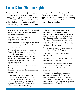## **Texas Crime Victims Rights**

A victim of violent crime is (1) someone who is the victim of sexual assault, kidnapping or aggravated robbery, or who has suffered bodily injury or death because of the criminal conduct of another; (2) the close relative (spouse, parent, adult brother

or sister, or child) of a deceased victim; or (3) the guardian of a victim. These rights apply to victims of juvenile crime, including victims who suffer property loss. Victims of crime have the right to:

- Receive adequate protection from harm and threats of harm arising from cooperation with prosecution efforts;
- Have their safety considered by the magistrate when setting bail;
- Advance notification, on request, of relevant court proceedings, including cancellations and rescheduling;
- Request information from a peace officer about the defendant's right to bail and criminal investigation procedures; and from the prosecutor's office about general procedures in the criminal justice system, including plea agreements, restitution, appeals and parole;
- Provide pertinent information concerning the impact of the crime to the probation department conducting the pre-sentencing investigation;
- Payment for a medical examination for a victim of sexual assault by the law enforcement agency requesting the exam and, on request, the right to counseling regarding AIDS and HIV infection and testing for sexual assault victims;
- Information, on request, about parole procedures, notifications of parole proceedings and of the inmate's release; and the right to participate in the parole process by submitting written information to the Board of Pardons and Paroles for inclusion in the defendant's file for consideration by the Board prior to parole;
- Be present at all public court proceedings, with the presiding judge's consent;
- A safe waiting area at all public court proceedings;
- Prompt return of any property that is no longer needed as evidence;
- Have the prosecutor notify, upon request, an employer that the need for the victim's testimony may involve the victim's absence from work;
- Complete a Victim Impact Statement, detailing the emotional, physical and financial impact of the crime on the victim and to have that statement considered by a judge at sentencing and by officials prior to the release of the offender(s).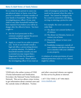#### Notice To Adult Victims of Family Violence

It is a crime for any person to cause you any physical injury or harm, even if that person is a member or former member of your family or household. Please tell the investigating peace officer: If you, your child or any other household resident has been injured; If you believe you will be in danger after the officer(s) leaves. You have a right to:

- A. Ask the local prosecutor to file a criminal complaint against the person committing family violence.
- B. Apply to a court for an order to protect you. To do so you should consult a legal aid office, a prosecuting attorney or a private attorney. If a family or household member assaults you and is arrested you may request that a Magistrate's Order for Emergency Protection be issued. Please inform the investigating officer if you want an

order of emergency protection. You need not be present when the order is issued. You cannot be charged a fee by a court in connection with filing, serving or entering a protective order

For example, the court can enter an order that:

- (1) The abuser not commit further acts of violence
- (2) The abuser not threaten, harass, or contact you at home
- (3) Directs the abuser to leave your household
- (4) Establishes temporary custody of your children and directs the abuser not to interfere with your children or any property.

A violation of certain provisions of court ordered protection (such as 1 or 2 above) might be a felony.

#### VINELink

VINELink is the online version of VINE (Victim Information and Notification Everyday), the National Victim Notification Network. This service allows crime victims to get information about criminal cases and the custody status of offenders. Victims

and other concerned citizens can register for this service by phone or internet.

1-877-TX4-VINE (1-877-894-8463) [www.vinelink.com](https://www.vinelink.com/)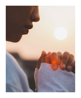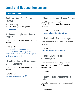## **Local and National Resources**

#### Institutional Resources

The University of Texas Police at **Houston** 

911 (emergency) 713-792-2890 (non-emergency) [www.utph.org](http://www.utph.org)

MD Anderson Employee Assistance Program

Free confidential counseling services and referrals.

713-745-6901 [http://inside.mdanderson.org/](http://inside.mdanderson.org/humanresources/working-at-md-anderson/employee-resources/employee-assistance-program.html) [humanresources/working-at-md](http://inside.mdanderson.org/humanresources/working-at-md-anderson/employee-resources/employee-assistance-program.html)[anderson/employee-resources/employee](http://inside.mdanderson.org/humanresources/working-at-md-anderson/employee-resources/employee-assistance-program.html)[assistance-program.html](http://inside.mdanderson.org/humanresources/working-at-md-anderson/employee-resources/employee-assistance-program.html)

UTHealth Student Health Services and Student Counseling

Free confidential counseling services and referrals.

713-500-5171 [www.uth.edu/studenthealth](http://www.uth.edu/studenthealth)

#### UTHealth Employee Assistance Program

(eligible employees only) Free confidential counseling services and referrals.

713-500-3327 (24-hour) [www.uth.edu/hr/department/eap](http://www.uth.edu/hr/department/eap)

#### UTHealth Faculty Assistance Program

Free confidential counseling services and referrals.

713-500-3380 [www.uth.edu/hr/department/eap](http://www.uth.edu/hr/department/eap)

UTHealth After Hours Help (non-emergency)

Free confidential counseling services and referrals for non-life threatening emergencies.

713-500-5173

UTHealth 24-hour Emergency Crisis **Hotline** 

Crisis line for student and someone needs help.

713-500-4688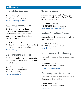#### Local Resources

#### Houston Police Department

911 (emergency) 713-884-3131 (non-emergency) [www.houstontx.gov/police](http://www.houstontx.gov/police)

#### Houston Area Women's Center

Services for survivors of domestic and sexual violence and their non-offending family and friends. Services include 24 hour hotlines, counseling and urgent referrals to shelters.

713-528-6798 (office) 713-528-2121 (domestic violence hotline) 713-528-7273 (sexual assault hotline) [www.hawc.org](http://www.hawc.org)

#### Crisis Intervention of Houston

Confidential and anonymous services for any crisis event. Services include 24-hour crisis hotlines.

832-416-1177 (hotline) 832-416-1199 (teen hotline) 281-201-4430 (text) [www.crisishotline.org](https://www.crisishotline.org/)

#### The Montrose Center

Provides services for LGBTQ survivors of domestic violence, sexual assault, hate crimes, trafficking, etc.

713-529-0037 (main) 713-529-3211 (24 hour helpline) [www.montrosecenter.org/hub](http://www.montrosecenter.org/hub/)

#### Fort Bend County Women's Center

Services for survivors of domestic violence and sexual assault.

281-344-5750 (office) 281-342-4347 (crisis hotline) [www.fbwc.org](https://www.fbwc.org/)

#### Women's Center of Brazoria County

Services for victims of domestic and sexual violence.

281-585-0904 (office) 800-243-5788 (crisis hotline) [www.womenscenterbc.com](https://www.womenscenterbc.com/)

#### Montgomery County Women's Center

Services for victims of domestic and sexual violence as well as stalking.

936-441-4044 (office) 936-441-7273 (crisis hotline) [mcwctx.org](https://mcwctx.org/)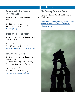#### Resource and Crisis Center of Galveston County

Services for victims of domestic and sexual violence.

409-763-1441 (office) 888-919-7233 (crisis hotline) [www.rccgc.org](https://www.rccgc.org/)

#### Bridge over Troubled Waters (Pasadena)

Services for survivors of domestic violence and sexual assault.

713-472-0753 (office) 713-473-2801 (crisis hotline) [www.thebridgeovertroubledwaters.org](http://www.thebridgeovertroubledwaters.org/)

#### Bay Area Turning Point

Services for survivors of domestic violence and sexual assault. (Counties primarily served: Harris, Chambers, Brazoria and Galveston)

281-338-7600 (office) 281-286-2525 (crisis hotline) [www.bayareaturningpoint.org](http://www.bayareaturningpoint.org/)

#### State Resources

The Attorney General of Texas

(Stalking, Sexual Assault and Domestic Violence)

[www.texasattorneygeneral.gov/cvs/crime](http://www.texasattorneygeneral.gov/cvs/crime-victim-services-assisting-victims-of-violent-crime)[victim-services-assisting-victims-of](http://www.texasattorneygeneral.gov/cvs/crime-victim-services-assisting-victims-of-violent-crime)[violent-crime](http://www.texasattorneygeneral.gov/cvs/crime-victim-services-assisting-victims-of-violent-crime)

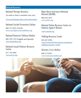#### National Resources

National Therapy Directory (in order to find a counselor near you)

[www.psychologytoday.com/us/therapists](https://www.psychologytoday.com/us/therapists)

National Suicide Prevention Lifeline 800-273-8255 (TALK) [www.suicidepreventionlifeline.org](https://suicidepreventionlifeline.org/)

National Domestic Violence Hotline 800-799-7233 (English and Spanish) [www.thehotline.org](https://www.thehotline.org/)

National Sexual Violence Resource Center

877-739-3895 [www.nsvrc.org](https://www.nsvrc.org/) Rape Abuse and Incest National Network (RAINN)

800-656-4673 [www.rainn.org](https://www.rainn.org/)

National Online Resource Center on Violence Against Women

[www.vawnet.org](https://vawnet.org/)

Stalking Resource Center

202-467-8700 [www.victimsofcrime.org/our-programs/](https://victimsofcrime.org/our-programs/past-programs/stalking-resource-center) [stalking-resource-center](https://victimsofcrime.org/our-programs/past-programs/stalking-resource-center)

Veterans Crisis Hotline

800-273-8255 [www.veteranscrisisline.net](https://www.veteranscrisisline.net/)

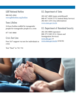#### LGBT National Hotline

888-843-4564 [www.glbthotline.org/hotline](http://www.glbthotline.org/hotline.html)

#### Trans Lifeline

24 hour hotline staffed by transgender people for transgender people in a crisis

877-565-8860

#### Crisis Text Line

Free 24/7 support via text for individuals in crisis

Text "Start" to 741-741

#### U.S. Department of State

202-647-4000 (main switchboard) 800-877-8339 (TTY, Federal Relay Service) 202-663-1255 (visa information) [www.state.gov/m/ds](http://www.state.gov/m/ds)

#### U.S. Department of Homeland Security

202-282-8000 (operator) 800-375-5283 (U.S. Citizen and Immigration Services) [www.dhs.gov](https://www.dhs.gov/) or [www.state.gov/m/ds](http://www.state.gov/m/ds) (USCIS)